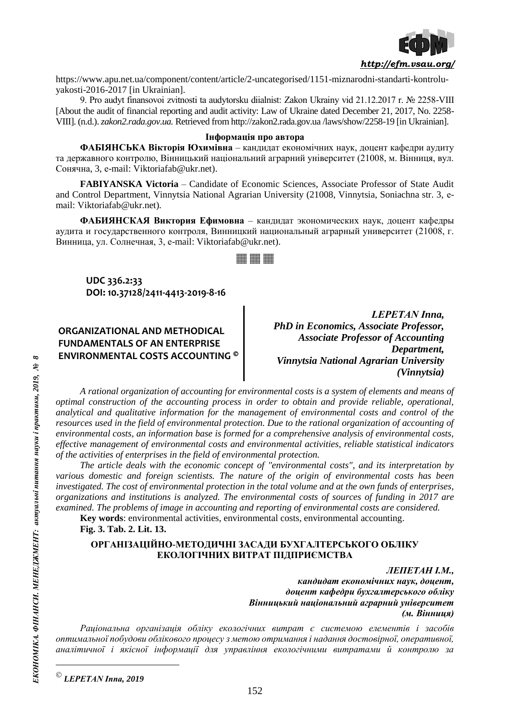

https://www.apu.net.ua/component/content/article/2-uncategorised/1151-miznarodni-standarti-kontroluyakosti-2016-2017 [in Ukrainian].

9. Pro audyt finansovoi zvitnosti ta audytorsku diialnist: Zakon Ukrainy vid 21.12.2017 r. № 2258-VIII [About the audit of financial reporting and audit activity: Law of Ukraine dated December 21, 2017, No. 2258- VIII]. (n.d.). *zakon2.rada.gov.ua.* Retrieved from http://zakon2.rada.gov.ua /laws/show/2258-19 [in Ukrainian].

## **Інформація про автора**

**ФАБІЯНСЬКА Вікторія Юхимівна** – кандидат економічних наук, доцент кафедри аудиту та державного контролю, Вінницький національний аграрний університет (21008, м. Вінниця, вул. Сонячна, 3, е-mail: Viktoriafab@ukr.net).

**FABIYANSKA Victoria** – Candidate of Economic Sciences, Associate Professor of State Audit and Control Department, Vinnytsia National Agrarian University (21008, Vinnytsia, Soniachna str. 3, еmail: Viktoriafab@ukr.net).

**ФАБИЯНСКАЯ Виктория Ефимовна** – кандидат экономических наук, доцент кафедры аудита и государственного контроля, Винницкий национальный аграрный университет (21008, г. Винница, ул. Солнечная, 3, е-mail: Viktoriafab@ukr.net).

WW WW WW

# **UDC 336.2:33 DOI: 10.37128/2411-4413-2019-8-16**

**ORGANIZATIONAL AND METHODICAL FUNDAMENTALS OF AN ENTERPRISE ENVIRONMENTAL COSTS ACCOUNTING**

*LEPETAN Іnna, PhD in Economics, Associate Professor, Associate Professor of Accounting Department, Vinnytsia National Agrarian University (Vinnytsia)*

*A rational organization of accounting for environmental costs is a system of elements and means of optimal construction of the accounting process in order to obtain and provide reliable, operational, analytical and qualitative information for the management of environmental costs and control of the resources used in the field of environmental protection. Due to the rational organization of accounting of environmental costs, an information base is formed for a comprehensive analysis of environmental costs, effective management of environmental costs and environmental activities, reliable statistical indicators of the activities of enterprises in the field of environmental protection.*

*The article deals with the economic concept of "environmental costs", and its interpretation by various domestic and foreign scientists. The nature of the origin of environmental costs has been investigated. The cost of environmental protection in the total volume and at the own funds of enterprises, organizations and institutions is analyzed. The environmental costs of sources of funding in 2017 are examined. The problems of image in accounting and reporting of environmental costs are considered.*

**Key words**: environmental activities, environmental costs, environmental accounting.

**Fig. 3. Tab. 2. Lit. 13.**

### **ОРГАНІЗАЦІЙНО-МЕТОДИЧНІ ЗАСАДИ БУХГАЛТЕРСЬКОГО ОБЛІКУ ЕКОЛОГІЧНИХ ВИТРАТ ПІДПРИЄМСТВА**

*ЛЕПЕТАН І.М., кандидат економічних наук, доцент, доцент кафедри бухгалтерського обліку Вінницький національний аграрний університет (м. Вінниця)*

*Раціональна організація обліку екологічних витрат є системою елементів і засобів оптимальної побудови облікового процесу з метою отримання і надання достовірної, оперативної, аналітичної і якісної інформації для управління екологічними витратами й контролю за* 

 $\overline{a}$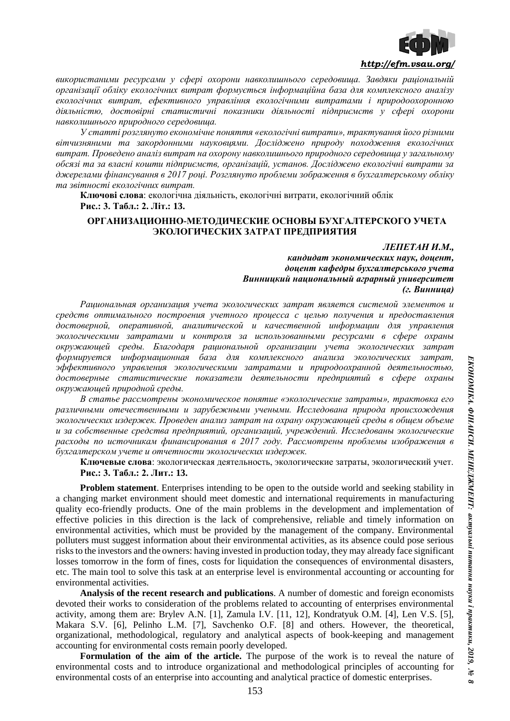

*використаними ресурсами у сфері охорони навколишнього середовища. Завдяки раціональній організації обліку екологічних витрат формується інформаційна база для комплексного аналізу екологічних витрат, ефективного управління екологічними витратами і природоохоронною діяльністю, достовірні статистичні показники діяльності підприємств у сфері охорони навколишнього природного середовища.* 

*У статті розглянуто економічне поняття «екологічні витрати», трактування його різними вітчизняними та закордонними науковцями. Досліджено природу походження екологічних витрат. Проведено аналіз витрат на охорону навколишнього природного середовища у загальному обсязі та за власні кошти підприємств, організацій, установ. Досліджено екологічні витрати за джерелами фінансування в 2017 році. Розглянуто проблеми зображення в бухгалтерському обліку та звітності екологічних витрат.*

**Ключові слова**: екологічна діяльність, екологічні витрати, екологічний облік **Рис.: 3. Табл.: 2. Літ.: 13.**

### **ОРГАНИЗАЦИОННО-МЕТОДИЧЕСКИЕ ОСНОВЫ БУХГАЛТЕРСКОГО УЧЕТА ЭКОЛОГИЧЕСКИХ ЗАТРАТ ПРЕДПРИЯТИЯ**

### *ЛЕПЕТАН И.М.,*

*кандидат экономических наук, доцент, доцент кафедры бухгалтерського учета Винницкий национальный аграрный университет (г. Винница)*

*Рациональная организация учета экологических затрат является системой элементов и средств оптимального построения учетного процесса с целью получения и предоставления достоверной, оперативной, аналитической и качественной информации для управления экологическими затратами и контроля за использованными ресурсами в сфере охраны окружающей среды. Благодаря рациональной организации учета экологических затрат формируется информационная база для комплексного анализа экологических затрат, эффективного управления экологическими затратами и природоохранной деятельностью, достоверные статистические показатели деятельности предприятий в сфере охраны окружающей природной среды.*

*В статье рассмотрены экономическое понятие «экологические затраты», трактовка его различными отечественными и зарубежными учеными. Исследована природа происхождения экологических издержек. Проведен анализ затрат на охрану окружающей среды в общем объеме и за собственные средства предприятий, организаций, учреждений. Исследованы экологические расходы по источникам финансирования в 2017 году. Рассмотрены проблемы изображения в бухгалтерском учете и отчетности экологических издержек.*

**Ключевые слова**: экологическая деятельность, экологические затраты, экологический учет. **Рис.: 3. Табл.: 2. Лит.: 13.**

**Problem statement**. Enterprises intending to be open to the outside world and seeking stability in a changing market environment should meet domestic and international requirements in manufacturing quality eco-friendly products. One of the main problems in the development and implementation of effective policies in this direction is the lack of comprehensive, reliable and timely information on environmental activities, which must be provided by the management of the company. Environmental polluters must suggest information about their environmental activities, as its absence could pose serious risks to the investors and the owners: having invested in production today, they may already face significant losses tomorrow in the form of fines, costs for liquidation the consequences of environmental disasters, etc. The main tool to solve this task at an enterprise level is environmental accounting or accounting for environmental activities.

**Analysis of the recent research and publications**. A number of domestic and foreign economists devoted their works to consideration of the problems related to accounting of enterprises environmental activity, among them are: Brylev A.N. [1], Zamula I.V. [11, 12], Kondratyuk O.M. [4], Len V.S. [5], Makara S.V. [6], Pelinho L.M. [7], Savchenko O.F. [8] and others. However, the theoretical, organizational, methodological, regulatory and analytical aspects of book-keeping and management accounting for environmental costs remain poorly developed.

**Formulation of the aim of the article.** The purpose of the work is to reveal the nature of environmental costs and to introduce organizational and methodological principles of accounting for environmental costs of an enterprise into accounting and analytical practice of domestic enterprises.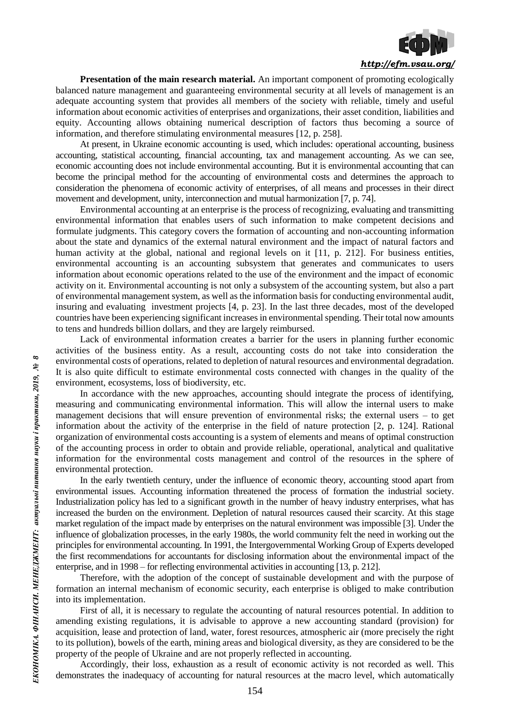

**Presentation of the main research material.** An important component of promoting ecologically balanced nature management and guaranteeing environmental security at all levels of management is an adequate accounting system that provides all members of the society with reliable, timely and useful information about economic activities of enterprises and organizations, their asset condition, liabilities and equity. Accounting allows obtaining numerical description of factors thus becoming a source of information, and therefore stimulating environmental measures [12, p. 258].

At present, in Ukraine economic accounting is used, which includes: operational accounting, business accounting, statistical accounting, financial accounting, tax and management accounting. As we can see, economic accounting does not include environmental accounting. But it is environmental accounting that can become the principal method for the accounting of environmental costs and determines the approach to consideration the phenomena of economic activity of enterprises, of all means and processes in their direct movement and development, unity, interconnection and mutual harmonization [7, p. 74].

Environmental accounting at an enterprise is the process of recognizing, evaluating and transmitting environmental information that enables users of such information to make competent decisions and formulate judgments. This category covers the formation of accounting and non-accounting information about the state and dynamics of the external natural environment and the impact of natural factors and human activity at the global, national and regional levels on it [11, p. 212]. For business entities, environmental accounting is an accounting subsystem that generates and communicates to users information about economic operations related to the use of the environment and the impact of economic activity on it. Environmental accounting is not only a subsystem of the accounting system, but also a part of environmental management system, as well as the information basis for conducting environmental audit, insuring and evaluating investment projects [4, p. 23]. In the last three decades, most of the developed countries have been experiencing significant increases in environmental spending. Their total now amounts to tens and hundreds billion dollars, and they are largely reimbursed.

Lack of environmental information creates a barrier for the users in planning further economic activities of the business entity. As a result, accounting costs do not take into consideration the environmental costs of operations, related to depletion of natural resources and environmental degradation. It is also quite difficult to estimate environmental costs connected with changes in the quality of the environment, ecosystems, loss of biodiversity, etc.

In accordance with the new approaches, accounting should integrate the process of identifying, measuring and communicating environmental information. This will allow the internal users to make management decisions that will ensure prevention of environmental risks; the external users *–* to get information about the activity of the enterprise in the field of nature protection [2, p. 124]. Rational organization of environmental costs accounting is a system of elements and means of optimal construction of the accounting process in order to obtain and provide reliable, operational, analytical and qualitative information for the environmental costs management and control of the resources in the sphere of environmental protection.

In the early twentieth century, under the influence of economic theory, accounting stood apart from environmental issues. Accounting information threatened the process of formation the industrial society. Industrialization policy has led to a significant growth in the number of heavy industry enterprises, what has increased the burden on the environment. Depletion of natural resources caused their scarcity. At this stage market regulation of the impact made by enterprises on the natural environment was impossible [3]. Under the influence of globalization processes, in the early 1980s, the world community felt the need in working out the principles for environmental accounting. In 1991, the Intergovernmental Working Group of Experts developed the first recommendations for accountants for disclosing information about the environmental impact of the enterprise, and in 1998 *–* for reflecting environmental activities in accounting [13, p. 212].

Therefore, with the adoption of the concept of sustainable development and with the purpose of formation an internal mechanism of economic security, each enterprise is obliged to make contribution into its implementation.

First of all, it is necessary to regulate the accounting of natural resources potential. In addition to amending existing regulations, it is advisable to approve a new accounting standard (provision) for acquisition, lease and protection of land, water, forest resources, atmospheric air (more precisely the right to its pollution), bowels of the earth, mining areas and biological diversity, as they are considered to be the property of the people of Ukraine and are not properly reflected in accounting.

Accordingly, their loss, exhaustion as a result of economic activity is not recorded as well. This demonstrates the inadequacy of accounting for natural resources at the macro level, which automatically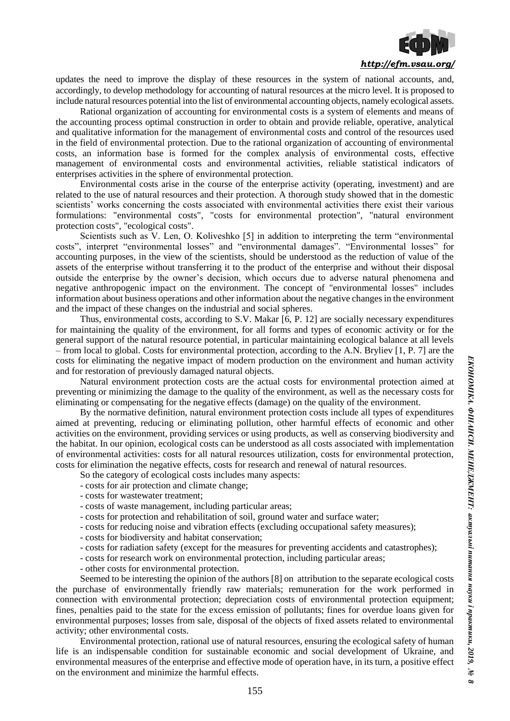

updates the need to improve the display of these resources in the system of national accounts, and, accordingly, to develop methodology for accounting of natural resources at the micro level. It is proposed to include natural resources potential into the list of environmental accounting objects, namely ecological assets.

Rational organization of accounting for environmental costs is a system of elements and means of the accounting process optimal construction in order to obtain and provide reliable, operative, analytical and qualitative information for the management of environmental costs and control of the resources used in the field of environmental protection. Due to the rational organization of accounting of environmental costs, an information base is formed for the complex analysis of environmental costs, effective management of environmental costs and environmental activities, reliable statistical indicators of enterprises activities in the sphere of environmental protection.

Environmental costs arise in the course of the enterprise activity (operating, investment) and are related to the use of natural resources and their protection. A thorough study showed that in the domestic scientists' works concerning the costs associated with environmental activities there exist their various formulations: "environmental costs", "costs for environmental protection", "natural environment protection costs", "ecological costs".

Scientists such as V. Len, O. Koliveshko [5] in addition to interpreting the term "environmental costs", interpret "environmental losses" and "environmental damages". "Environmental losses" for accounting purposes, in the view of the scientists, should be understood as the reduction of value of the assets of the enterprise without transferring it to the product of the enterprise and without their disposal outside the enterprise by the owner's decision, which occurs due to adverse natural phenomena and negative anthropogenic impact on the environment. The concept of "environmental losses" includes information about business operations and other information about the negative changes in the environment and the impact of these changes on the industrial and social spheres.

Thus, environmental costs, according to S.V. Makar [6, P. 12] are socially necessary expenditures for maintaining the quality of the environment, for all forms and types of economic activity or for the general support of the natural resource potential, in particular maintaining ecological balance at all levels *–* from local to global. Costs for environmental protection, according to the A.N. Bryliev [1, P. 7] are the costs for eliminating the negative impact of modern production on the environment and human activity and for restoration of previously damaged natural objects.

Natural environment protection costs are the actual costs for environmental protection aimed at preventing or minimizing the damage to the quality of the environment, as well as the necessary costs for eliminating or compensating for the negative effects (damage) on the quality of the environment.

By the normative definition, natural environment protection costs include all types of expenditures aimed at preventing, reducing or eliminating pollution, other harmful effects of economic and other activities on the environment, providing services or using products, as well as conserving biodiversity and the habitat. In our opinion, ecological costs can be understood as all costs associated with implementation of environmental activities: costs for all natural resources utilization, costs for environmental protection, costs for elimination the negative effects, costs for research and renewal of natural resources.

- So the category of ecological costs includes many aspects:
- costs for air protection and climate change;
- costs for wastewater treatment;
- costs of waste management, including particular areas;
- costs for protection and rehabilitation of soil, ground water and surface water;
- costs for reducing noise and vibration effects (excluding occupational safety measures);
- costs for biodiversity and habitat conservation;
- costs for radiation safety (except for the measures for preventing accidents and catastrophes);
- costs for research work on environmental protection, including particular areas;
- other costs for environmental protection.

Seemed to be interesting the opinion of the authors [8] on attribution to the separate ecological costs the purchase of environmentally friendly raw materials; remuneration for the work performed in connection with environmental protection; depreciation costs of environmental protection equipment; fines, penalties paid to the state for the excess emission of pollutants; fines for overdue loans given for environmental purposes; losses from sale, disposal of the objects of fixed assets related to environmental activity; other environmental costs.

Environmental protection, rational use of natural resources, ensuring the ecological safety of human life is an indispensable condition for sustainable economic and social development of Ukraine, and environmental measures of the enterprise and effective mode of operation have, in its turn, a positive effect on the environment and minimize the harmful effects.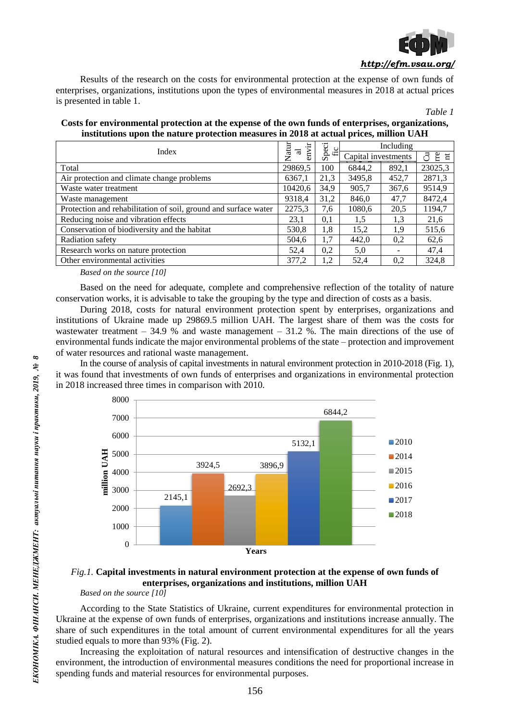

Results of the research on the costs for environmental protection at the expense of own funds of enterprises, organizations, institutions upon the types of environmental measures in 2018 at actual prices is presented in table 1.

*Table 1*

**Costs for environmental protection at the expense of the own funds of enterprises, organizations, institutions upon the nature protection measures in 2018 at actual prices, million UAH**

| Index                                                           |         | Speci<br>fic | Including           |       |                 |
|-----------------------------------------------------------------|---------|--------------|---------------------|-------|-----------------|
|                                                                 |         |              | Capital investments |       | $E \nvert$<br>ੋ |
| Total                                                           | 29869,5 | 100          | 6844,2              | 892,1 | 23025,3         |
| Air protection and climate change problems                      |         | 21,3         | 3495,8              | 452,7 | 2871,3          |
| Waste water treatment                                           |         | 34,9         | 905,7               | 367,6 | 9514,9          |
| Waste management                                                |         | 31,2         | 846,0               | 47.7  | 8472,4          |
| Protection and rehabilitation of soil, ground and surface water |         | 7,6          | 1080,6              | 20,5  | 1194,7          |
| Reducing noise and vibration effects                            |         | 0,1          | 1,5                 | 1.3   | 21,6            |
| Conservation of biodiversity and the habitat                    |         | 1,8          | 15,2                | 1.9   | 515,6           |
| Radiation safety                                                |         | 1,7          | 442,0               | 0,2   | 62,6            |
| Research works on nature protection                             |         | 0,2          | 5,0                 |       | 47,4            |
| Other environmental activities                                  |         | 1,2          | 52,4                | 0,2   | 324,8           |

*Based on the source [10]*

Based on the need for adequate, complete and comprehensive reflection of the totality of nature conservation works, it is advisable to take the grouping by the type and direction of costs as a basis.

During 2018, costs for natural environment protection spent by enterprises, organizations and institutions of Ukraine made up 29869.5 million UAH. The largest share of them was the costs for wastewater treatment *–* 34.9 % and waste management *–* 31.2 %. The main directions of the use of environmental funds indicate the major environmental problems of the state *–* protection and improvement of water resources and rational waste management.

In the course of analysis of capital investments in natural environment protection in 2010-2018 (Fig. 1), it was found that investments of own funds of enterprises and organizations in environmental protection in 2018 increased three times in comparison with 2010.



# *Fig.1.* **Capital investments in natural environment protection at the expense of own funds of enterprises, organizations and institutions, million UAH**

*Based on the source [10]*

According to the State Statistics of Ukraine, current expenditures for environmental protection in Ukraine at the expense of own funds of enterprises, organizations and institutions increase annually. The share of such expenditures in the total amount of current environmental expenditures for all the years studied equals to more than 93% (Fig. 2).

Increasing the exploitation of natural resources and intensification of destructive changes in the environment, the introduction of environmental measures conditions the need for proportional increase in spending funds and material resources for environmental purposes.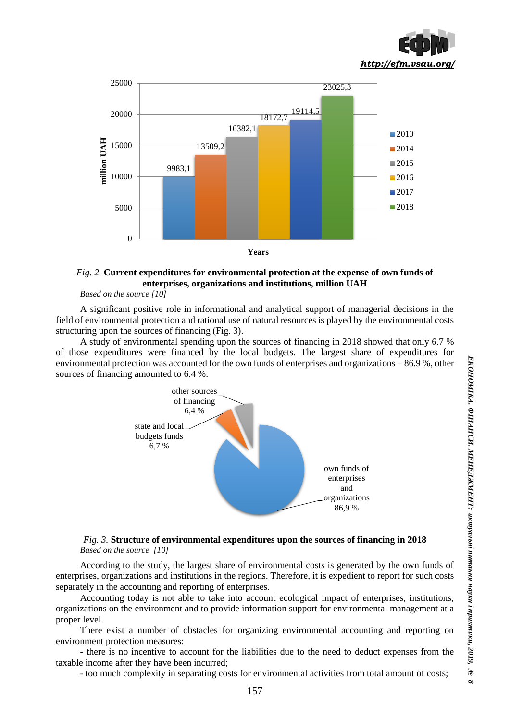



# *Fig. 2.* **Current expenditures for environmental protection at the expense of own funds of enterprises, organizations and institutions, million UAH**

*Based on the source [10]*

A significant positive role in informational and analytical support of managerial decisions in the field of environmental protection and rational use of natural resources is played by the environmental costs structuring upon the sources of financing (Fig. 3).

A study of environmental spending upon the sources of financing in 2018 showed that only 6.7 % of those expenditures were financed by the local budgets. The largest share of expenditures for environmental protection was accounted for the own funds of enterprises and organizations *–* 86.9 %, other sources of financing amounted to 6.4 %.



## *Fig. 3.* **Structure of environmental expenditures upon the sources of financing in 2018** *Based on the source [10]*

According to the study, the largest share of environmental costs is generated by the own funds of enterprises, organizations and institutions in the regions. Therefore, it is expedient to report for such costs separately in the accounting and reporting of enterprises.

Accounting today is not able to take into account ecological impact of enterprises, institutions, organizations on the environment and to provide information support for environmental management at a proper level.

There exist a number of obstacles for organizing environmental accounting and reporting on environment protection measures:

- there is no incentive to account for the liabilities due to the need to deduct expenses from the taxable income after they have been incurred;

- too much complexity in separating costs for environmental activities from total amount of costs;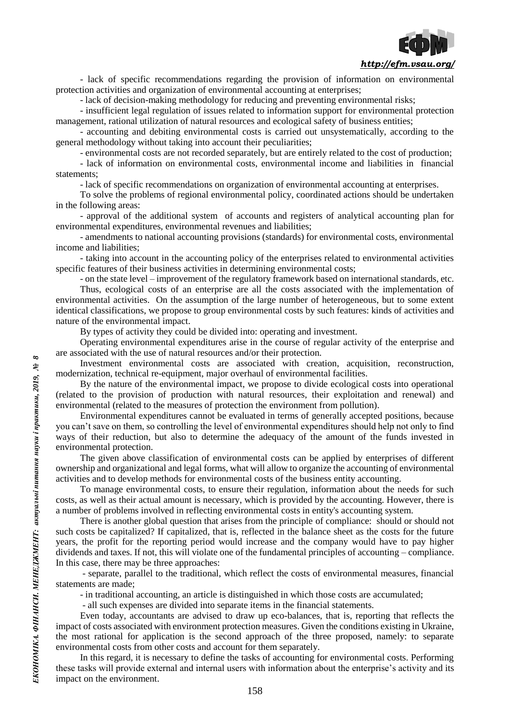

- lack of specific recommendations regarding the provision of information on environmental protection activities and organization of environmental accounting at enterprises;

- lack of decision-making methodology for reducing and preventing environmental risks;

- insufficient legal regulation of issues related to information support for environmental protection management, rational utilization of natural resources and ecological safety of business entities;

- accounting and debiting environmental costs is carried out unsystematically, according to the general methodology without taking into account their peculiarities;

- environmental costs are not recorded separately, but are entirely related to the cost of production;

- lack of information on environmental costs, environmental income and liabilities in financial statements;

- lack of specific recommendations on organization of environmental accounting at enterprises.

To solve the problems of regional environmental policy, coordinated actions should be undertaken in the following areas:

- approval of the additional system of accounts and registers of analytical accounting plan for environmental expenditures, environmental revenues and liabilities;

- amendments to national accounting provisions (standards) for environmental costs, environmental income and liabilities;

- taking into account in the accounting policy of the enterprises related to environmental activities specific features of their business activities in determining environmental costs;

- on the state level *–* improvement of the regulatory framework based on international standards, etc.

Thus, ecological costs of an enterprise are all the costs associated with the implementation of environmental activities. On the assumption of the large number of heterogeneous, but to some extent identical classifications, we propose to group environmental costs by such features: kinds of activities and nature of the environmental impact.

By types of activity they could be divided into: operating and investment.

Operating environmental expenditures arise in the course of regular activity of the enterprise and are associated with the use of natural resources and/or their protection.

Investment environmental costs are associated with creation, acquisition, reconstruction, modernization, technical re-equipment, major overhaul of environmental facilities.

By the nature of the environmental impact, we propose to divide ecological costs into operational (related to the provision of production with natural resources, their exploitation and renewal) and environmental (related to the measures of protection the environment from pollution).

Environmental expenditures cannot be evaluated in terms of generally accepted positions, because you can't save on them, so controlling the level of environmental expenditures should help not only to find ways of their reduction, but also to determine the adequacy of the amount of the funds invested in environmental protection.

The given above classification of environmental costs can be applied by enterprises of different ownership and organizational and legal forms, what will allow to organize the accounting of environmental activities and to develop methods for environmental costs of the business entity accounting.

To manage environmental costs, to ensure their regulation, information about the needs for such costs, as well as their actual amount is necessary, which is provided by the accounting. However, there is a number of problems involved in reflecting environmental costs in entity's accounting system.

There is another global question that arises from the principle of compliance: should or should not such costs be capitalized? If capitalized, that is, reflected in the balance sheet as the costs for the future years, the profit for the reporting period would increase and the company would have to pay higher dividends and taxes. If not, this will violate one of the fundamental principles of accounting *–* compliance. In this case, there may be three approaches:

- separate, parallel to the traditional, which reflect the costs of environmental measures, financial statements are made;

- in traditional accounting, an article is distinguished in which those costs are accumulated;

- all such expenses are divided into separate items in the financial statements.

Even today, accountants are advised to draw up eco-balances, that is, reporting that reflects the impact of costs associated with environment protection measures. Given the conditions existing in Ukraine, the most rational for application is the second approach of the three proposed, namely: to separate environmental costs from other costs and account for them separately.

In this regard, it is necessary to define the tasks of accounting for environmental costs. Performing these tasks will provide external and internal users with information about the enterprise's activity and its impact on the environment.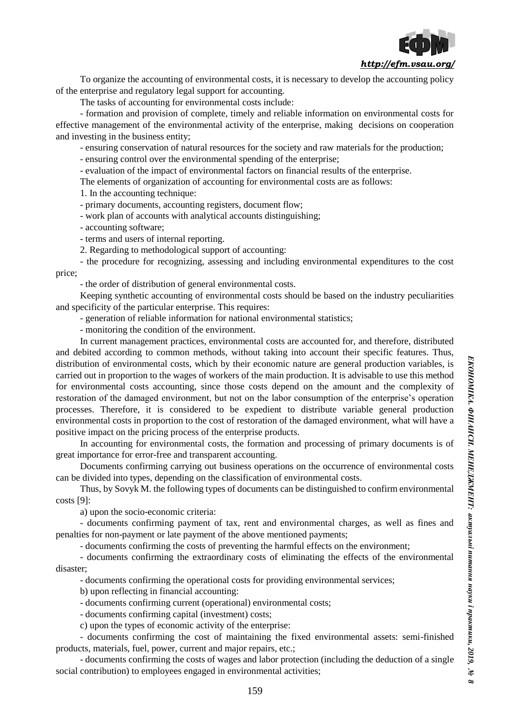

To organize the accounting of environmental costs, it is necessary to develop the accounting policy of the enterprise and regulatory legal support for accounting.

The tasks of accounting for environmental costs include:

- formation and provision of complete, timely and reliable information on environmental costs for effective management of the environmental activity of the enterprise, making decisions on cooperation and investing in the business entity;

- ensuring conservation of natural resources for the society and raw materials for the production;

- ensuring control over the environmental spending of the enterprise;

- evaluation of the impact of environmental factors on financial results of the enterprise.

The elements of organization of accounting for environmental costs are as follows:

1. In the accounting technique:

- primary documents, accounting registers, document flow;

- work plan of accounts with analytical accounts distinguishing;

- accounting software;

- terms and users of internal reporting.

2. Regarding to methodological support of accounting:

- the procedure for recognizing, assessing and including environmental expenditures to the cost price;

- the order of distribution of general environmental costs.

Keeping synthetic accounting of environmental costs should be based on the industry peculiarities and specificity of the particular enterprise. This requires:

- generation of reliable information for national environmental statistics;

- monitoring the condition of the environment.

In current management practices, environmental costs are accounted for, and therefore, distributed and debited according to common methods, without taking into account their specific features. Thus, distribution of environmental costs, which by their economic nature are general production variables, is carried out in proportion to the wages of workers of the main production. It is advisable to use this method for environmental costs accounting, since those costs depend on the amount and the complexity of restoration of the damaged environment, but not on the labor consumption of the enterprise's operation processes. Therefore, it is considered to be expedient to distribute variable general production environmental costs in proportion to the cost of restoration of the damaged environment, what will have a positive impact on the pricing process of the enterprise products.

In accounting for environmental costs, the formation and processing of primary documents is of great importance for error-free and transparent accounting.

Documents confirming carrying out business operations on the occurrence of environmental costs can be divided into types, depending on the classification of environmental costs.

Thus, by Sovyk M. the following types of documents can be distinguished to confirm environmental costs [9]:

a) upon the socio-economic criteria:

- documents confirming payment of tax, rent and environmental charges, as well as fines and penalties for non-payment or late payment of the above mentioned payments;

- documents confirming the costs of preventing the harmful effects on the environment;

- documents confirming the extraordinary costs of eliminating the effects of the environmental disaster;

- documents confirming the operational costs for providing environmental services;

b) upon reflecting in financial accounting:

- documents confirming current (operational) environmental costs;

- documents confirming capital (investment) costs;

c) upon the types of economic activity of the enterprise:

- documents confirming the cost of maintaining the fixed environmental assets: semi-finished products, materials, fuel, power, current and major repairs, etc.;

- documents confirming the costs of wages and labor protection (including the deduction of a single social contribution) to employees engaged in environmental activities;

*8*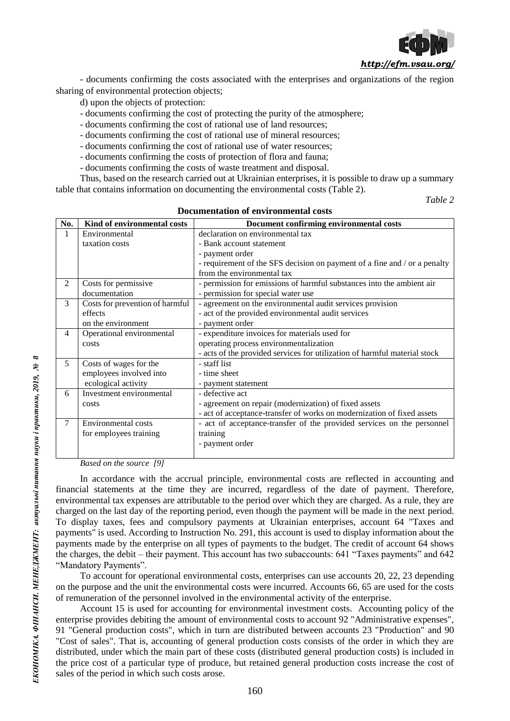

- documents confirming the costs associated with the enterprises and organizations of the region sharing of environmental protection objects:

d) upon the objects of protection:

- documents confirming the cost of protecting the purity of the atmosphere;
- documents confirming the cost of rational use of land resources;
- documents confirming the cost of rational use of mineral resources;
- documents confirming the cost of rational use of water resources;
- documents confirming the costs of protection of flora and fauna;
- documents confirming the costs of waste treatment and disposal.

Thus, based on the research carried out at Ukrainian enterprises, it is possible to draw up a summary table that contains information on documenting the environmental costs (Table 2).

*Table 2*

| No.            | Kind of environmental costs     | Document confirming environmental costs                                   |
|----------------|---------------------------------|---------------------------------------------------------------------------|
| $\mathbf{1}$   | Environmental                   | declaration on environmental tax                                          |
|                | taxation costs                  | - Bank account statement                                                  |
|                |                                 | - payment order                                                           |
|                |                                 | - requirement of the SFS decision on payment of a fine and / or a penalty |
|                |                                 | from the environmental tax                                                |
| 2              | Costs for permissive            | - permission for emissions of harmful substances into the ambient air     |
|                | documentation                   | - permission for special water use                                        |
| 3              | Costs for prevention of harmful | - agreement on the environmental audit services provision                 |
|                | effects                         | - act of the provided environmental audit services                        |
|                | on the environment              | - payment order                                                           |
| $\overline{4}$ | Operational environmental       | - expenditure invoices for materials used for                             |
|                | costs                           | operating process environmentalization                                    |
|                |                                 | - acts of the provided services for utilization of harmful material stock |
| 5              | Costs of wages for the          | - staff list                                                              |
|                | employees involved into         | - time sheet                                                              |
|                | ecological activity             | - payment statement                                                       |
| 6              | Investment environmental        | - defective act                                                           |
|                | costs                           | - agreement on repair (modernization) of fixed assets                     |
|                |                                 | - act of acceptance-transfer of works on modernization of fixed assets    |
| $\tau$         | Environmental costs             | - act of acceptance-transfer of the provided services on the personnel    |
|                | for employees training          | training                                                                  |
|                |                                 | - payment order                                                           |
|                |                                 |                                                                           |

### **Documentation of environmental costs**

*Based on the source [9]*

In accordance with the accrual principle, environmental costs are reflected in accounting and financial statements at the time they are incurred, regardless of the date of payment. Therefore, environmental tax expenses are attributable to the period over which they are charged. As a rule, they are charged on the last day of the reporting period, even though the payment will be made in the next period. To display taxes, fees and compulsory payments at Ukrainian enterprises, account 64 "Taxes and payments" is used. According to Instruction No. 291, this account is used to display information about the payments made by the enterprise on all types of payments to the budget. The credit of account 64 shows the charges, the debit *–* their payment. This account has two subaccounts: 641 "Taxes payments" and 642 "Mandatory Payments".

To account for operational environmental costs, enterprises can use accounts 20, 22, 23 depending on the purpose and the unit the environmental costs were incurred. Accounts 66, 65 are used for the costs of remuneration of the personnel involved in the environmental activity of the enterprise.

Account 15 is used for accounting for environmental investment costs. Accounting policy of the enterprise provides debiting the amount of environmental costs to account 92 "Administrative expenses", 91 "General production costs", which in turn are distributed between accounts 23 "Production" and 90 "Cost of sales". That is, accounting of general production costs consists of the order in which they are distributed, under which the main part of these costs (distributed general production costs) is included in the price cost of a particular type of produce, but retained general production costs increase the cost of sales of the period in which such costs arose.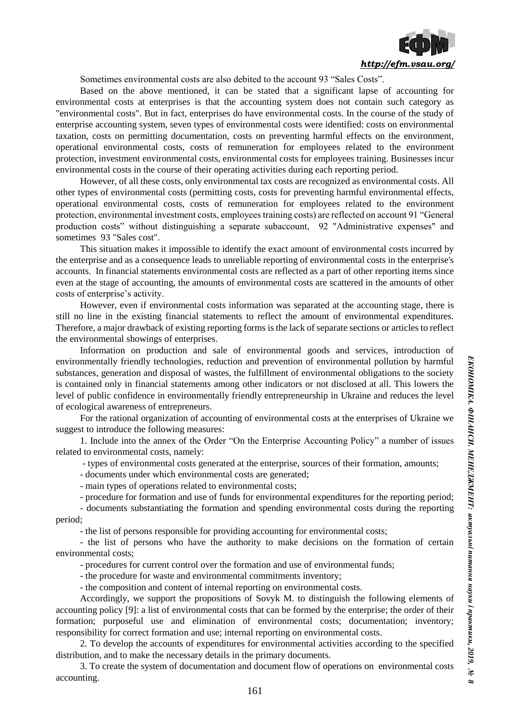

Sometimes environmental costs are also debited to the account 93 "Sales Costs".

Based on the above mentioned, it can be stated that a significant lapse of accounting for environmental costs at enterprises is that the accounting system does not contain such category as "environmental costs". But in fact, enterprises do have environmental costs. In the course of the study of enterprise accounting system, seven types of environmental costs were identified: costs on environmental taxation, costs on permitting documentation, costs on preventing harmful effects on the environment, operational environmental costs, costs of remuneration for employees related to the environment protection, investment environmental costs, environmental costs for employees training. Businesses incur environmental costs in the course of their operating activities during each reporting period.

However, of all these costs, only environmental tax costs are recognized as environmental costs. All other types of environmental costs (permitting costs, costs for preventing harmful environmental effects, operational environmental costs, costs of remuneration for employees related to the environment protection, environmental investment costs, employees training costs) are reflected on account 91 "General production costs" without distinguishing a separate subaccount, 92 "Administrative expenses" and sometimes 93 "Sales cost".

This situation makes it impossible to identify the exact amount of environmental costs incurred by the enterprise and as a consequence leads to unreliable reporting of environmental costs in the enterprise's accounts. In financial statements environmental costs are reflected as a part of other reporting items since even at the stage of accounting, the amounts of environmental costs are scattered in the amounts of other costs of enterprise's activity.

However, even if environmental costs information was separated at the accounting stage, there is still no line in the existing financial statements to reflect the amount of environmental expenditures. Therefore, a major drawback of existing reporting forms is the lack of separate sections or articles to reflect the environmental showings of enterprises.

Information on production and sale of environmental goods and services, introduction of environmentally friendly technologies, reduction and prevention of environmental pollution by harmful substances, generation and disposal of wastes, the fulfillment of environmental obligations to the society is contained only in financial statements among other indicators or not disclosed at all. This lowers the level of public confidence in environmentally friendly entrepreneurship in Ukraine and reduces the level of ecological awareness of entrepreneurs.

For the rational organization of accounting of environmental costs at the enterprises of Ukraine we suggest to introduce the following measures:

1. Include into the annex of the Order "On the Enterprise Accounting Policy" a number of issues related to environmental costs, namely:

- types of environmental costs generated at the enterprise, sources of their formation, amounts;

- documents under which environmental costs are generated;

- main types of operations related to environmental costs;

- procedure for formation and use of funds for environmental expenditures for the reporting period;

- documents substantiating the formation and spending environmental costs during the reporting period;

- the list of persons responsible for providing accounting for environmental costs;

- the list of persons who have the authority to make decisions on the formation of certain environmental costs;

- procedures for current control over the formation and use of environmental funds;

- the procedure for waste and environmental commitments inventory;

- the composition and content of internal reporting on environmental costs.

Accordingly, we support the propositions of Sovyk M. to distinguish the following elements of accounting policy [9]: a list of environmental costs that can be formed by the enterprise; the order of their formation; purposeful use and elimination of environmental costs; documentation; inventory; responsibility for correct formation and use; internal reporting on environmental costs.

2. To develop the accounts of expenditures for environmental activities according to the specified distribution, and to make the necessary details in the primary documents.

3. To create the system of documentation and document flow of operations on environmental costs accounting.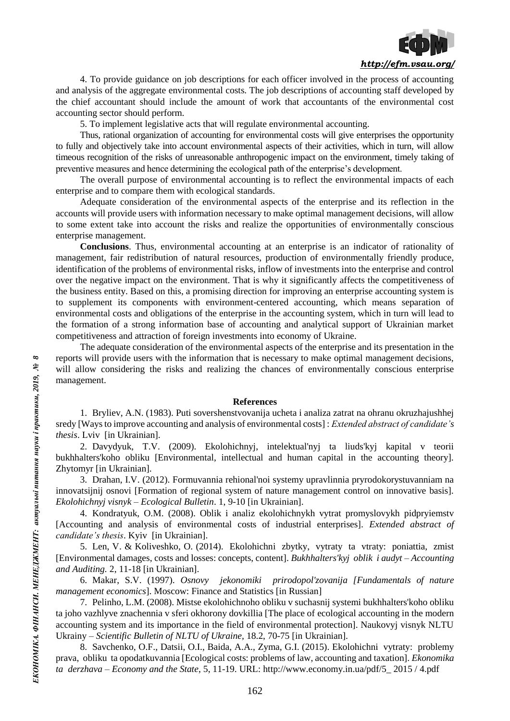

4. To provide guidance on job descriptions for each officer involved in the process of accounting and analysis of the aggregate environmental costs. The job descriptions of accounting staff developed by the chief accountant should include the amount of work that accountants of the environmental cost accounting sector should perform.

5. To implement legislative acts that will regulate environmental accounting.

Thus, rational organization of accounting for environmental costs will give enterprises the opportunity to fully and objectively take into account environmental aspects of their activities, which in turn, will allow timeous recognition of the risks of unreasonable anthropogenic impact on the environment, timely taking of preventive measures and hence determining the ecological path of the enterprise's development.

The overall purpose of environmental accounting is to reflect the environmental impacts of each enterprise and to compare them with ecological standards.

Adequate consideration of the environmental aspects of the enterprise and its reflection in the accounts will provide users with information necessary to make optimal management decisions, will allow to some extent take into account the risks and realize the opportunities of environmentally conscious enterprise management.

**Conclusions**. Thus, environmental accounting at an enterprise is an indicator of rationality of management, fair redistribution of natural resources, production of environmentally friendly produce, identification of the problems of environmental risks, inflow of investments into the enterprise and control over the negative impact on the environment. That is why it significantly affects the competitiveness of the business entity. Based on this, a promising direction for improving an enterprise accounting system is to supplement its components with environment-centered accounting, which means separation of environmental costs and obligations of the enterprise in the accounting system, which in turn will lead to the formation of a strong information base of accounting and analytical support of Ukrainian market competitiveness and attraction of foreign investments into economy of Ukraine.

The adequate consideration of the environmental aspects of the enterprise and its presentation in the reports will provide users with the information that is necessary to make optimal management decisions, will allow considering the risks and realizing the chances of environmentally conscious enterprise management.

### **References**

1. Bryliev, A.N. (1983). Puti sovershenstvovanija ucheta i analiza zatrat na ohranu okruzhajushhej sredy [Ways to improve accounting and analysis of environmental costs] : *Extended abstract of candidate's thesis*. Lviv [in Ukrainian].

2. Davydyuk, T.V. (2009). Ekolohichnyj, intelektual'nyj ta liuds'kyj kapital v teorii bukhhalters'koho obliku [Environmental, intellectual and human capital in the accounting theory]. Zhytomyr [in Ukrainian].

3. Drahan, I.V. (2012). Formuvannia rehional'noi systemy upravlinnia pryrodokorystuvanniam na innovatsijnij osnovi [Formation of regional system of nature management control on innovative basis]. *Ekolohichnyj visnyk – Ecological Bulletin*. 1, 9-10 [in Ukrainian].

4. Kondratyuk, O.M. (2008). Oblik i analiz ekolohichnykh vytrat promyslovykh pidpryiemstv [Accounting and analysis of environmental costs of industrial enterprises]. *Extended abstract of candidate's thesis*. Kyiv [in Ukrainian].

5. Len, V. & Koliveshko, O. (2014). Ekolohichni zbytky, vytraty ta vtraty: poniattia, zmist [Environmental damages, costs and losses: concepts, content]. *Bukhhalters'kyj oblik i audyt – Accounting and Auditing.* 2, 11-18 [in Ukrainian].

6. Makar, S.V. (1997). *Osnovy jekonomiki prirodopol'zovanija [Fundamentals of nature management economics*]. Moscow: Finance and Statistics [in Russian]

7. Pelinho, L.M. (2008). Mistse ekolohichnoho obliku v suchasnij systemi bukhhalters'koho obliku ta joho vazhlyve znachennia v sferi okhorony dovkillia [The place of ecological accounting in the modern accounting system and its importance in the field of environmental protection]. Naukovyj visnyk NLTU Ukrainy – *Scientific Bulletin of NLTU of Ukraine,* 18.2, 70-75 [in Ukrainian].

8. Savchenko, O.F., Datsii, O.I., Baida, A.A., Zyma, G.I. (2015). Ekolohichni vytraty: problemy prava, obliku ta opodatkuvannia [Ecological costs: problems of law, accounting and taxation]. *Ekonomika ta derzhava* – *Economy and the State*, 5, 11-19. URL: http://www.economy.in.ua/pdf/5\_ 2015 / 4.pdf

 $\infty$